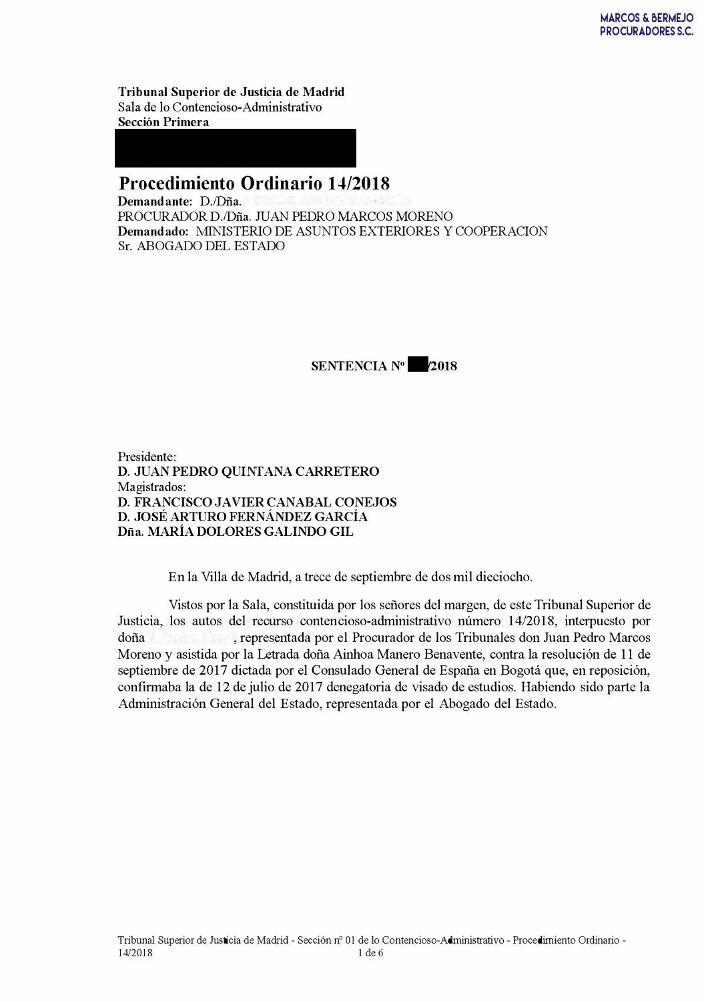Tribunal Superior de Justicia de Madrid Sala de lo Contencioso-Administrativo **Sección Primera** 

## **Procedimiento Ordinario 14/2018**

Demandante: D./Dña. PROCURADOR D./Dña. JUAN PEDRO MARCOS MORENO Demandado: MINISTERIO DE ASUNTOS EXTERIORES Y COOPERACION Sr. ABOGADO DEL ESTADO



Presidente: D. JUAN PEDRO QUINTANA CARRETERO Magistrados: D. FRANCISCO JAVIER CANABAL CONEJOS D. JOSÉ ARTURO FERNÁNDEZ GARCÍA Dña. MARÍA DOLORES GALINDO GIL

En la Villa de Madrid, a trece de septiembre de dos mil dieciocho.

Vistos por la Sala, constituida por los señores del margen, de este Tribunal Superior de Justicia, los autos del recurso contencioso-administrativo número 14/2018, interpuesto por doña representada por el Procurador de los Tribunales don Juan Pedro Marcos Moreno y asistida por la Letrada doña Ainhoa Manero Benavente, contra la resolución de 11 de septiembre de 2017 dictada por el Consulado General de España en Bogotá que, en reposición, confirmaba la de 12 de julio de 2017 denegatoria de visado de estudios. Habiendo sido parte la Administración General del Estado, representada por el Abogado del Estado.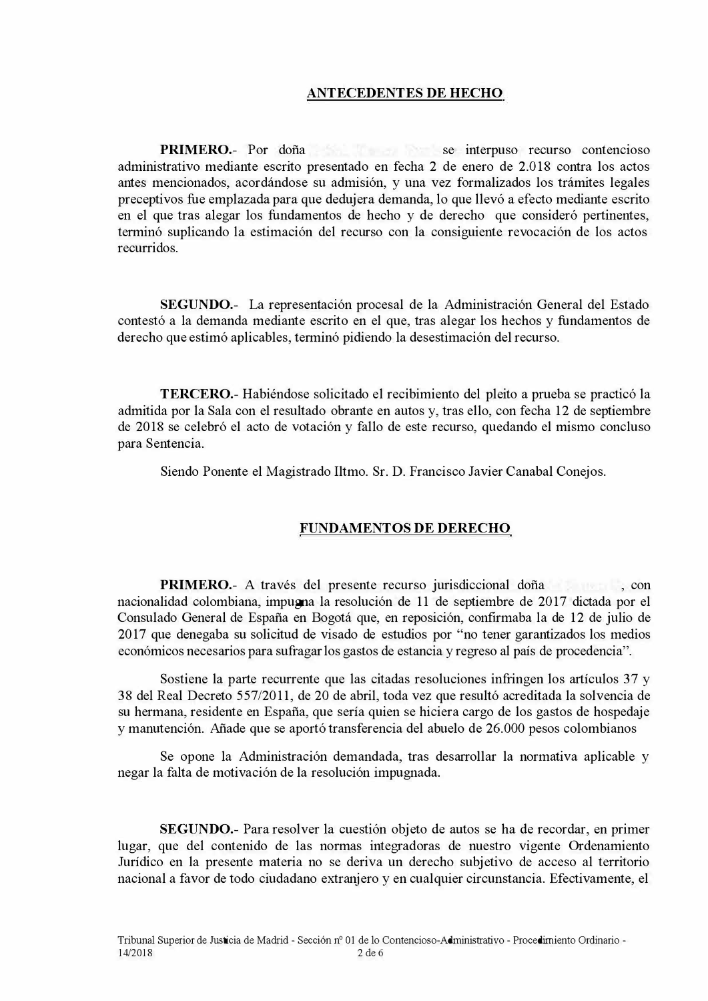## **ANTECEDENTES DE HECHO**

**PRIMERO.**- Por doña se interpuso recurso contencioso administrativo mediante escrito presentado en fecha 2 de enero de 2.018 contra los actos antes mencionados, acordándose su admisión, y una vez formalizados los trámites legales preceptivos fue emplazada para que dedujera demanda, lo que llevó a efecto mediante escrito en el que tras alegar los fundamentos de hecho y de derecho que consideró pertinentes, terminó suplicando la estimación del recurso con la consiguiente revocación de los actos recurridos

SEGUNDO.- La representación procesal de la Administración General del Estado contestó a la demanda mediante escrito en el que, tras alegar los hechos y fundamentos de derecho que estimó aplicables, terminó pidiendo la desestimación del recurso.

**TERCERO.** Habiéndose solicitado el recibimiento del pleito a prueba se practicó la admitida por la Sala con el resultado obrante en autos y, tras ello, con fecha 12 de septiembre de 2018 se celebró el acto de votación y fallo de este recurso, quedando el mismo concluso para Sentencia.

Siendo Ponente el Magistrado Iltmo. Sr. D. Francisco Javier Canabal Conejos.

## **FUNDAMENTOS DE DERECHO**

**PRIMERO.** A través del presente recurso jurisdiccional doña con nacionalidad colombiana, impugna la resolución de 11 de septiembre de 2017 dictada por el Consulado General de España en Bogotá que, en reposición, confirmaba la de 12 de julio de 2017 que denegaba su solicitud de visado de estudios por "no tener garantizados los medios económicos necesarios para sufragar los gastos de estancia y regreso al país de procedencia".

Sostiene la parte recurrente que las citadas resoluciones infringen los artículos 37 y 38 del Real Decreto 557/2011, de 20 de abril, toda vez que resultó acreditada la solvencia de su hermana, residente en España, que sería quien se hiciera cargo de los gastos de hospedaje y manutención. Añade que se aportó transferencia del abuelo de 26.000 pesos colombianos

Se opone la Administración demandada, tras desarrollar la normativa aplicable y negar la falta de motivación de la resolución impugnada.

**SEGUNDO.**- Para resolver la cuestión objeto de autos se ha de recordar, en primer lugar, que del contenido de las normas integradoras de nuestro vigente Ordenamiento Jurídico en la presente materia no se deriva un derecho subjetivo de acceso al territorio nacional a favor de todo ciudadano extranjero y en cualquier circunstancia. Efectivamente, el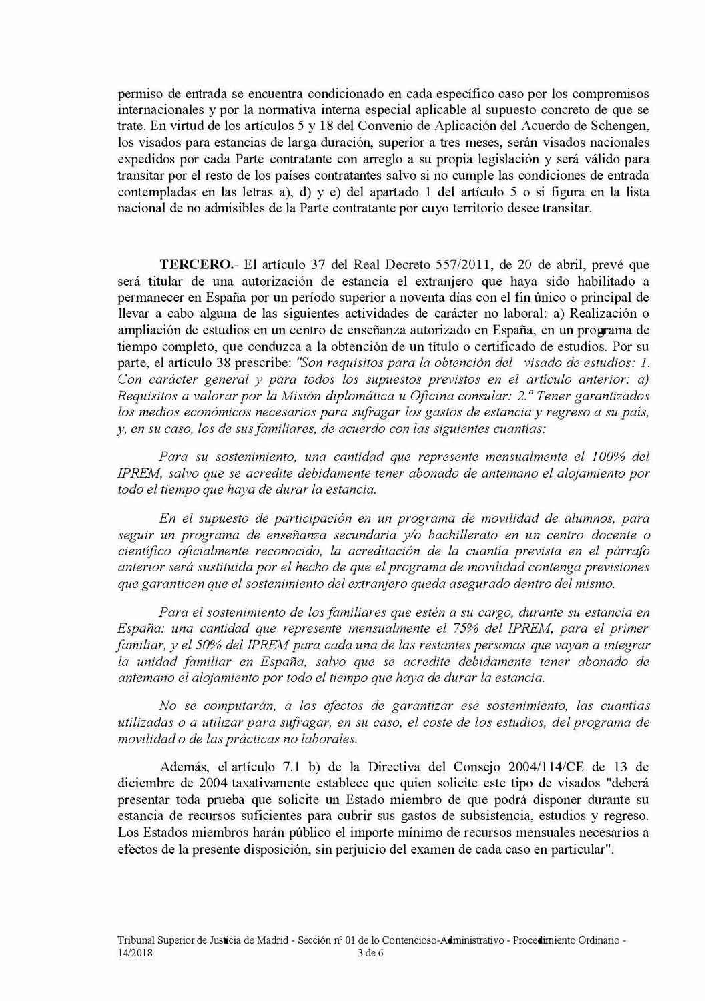permiso de entrada se encuentra condicionado en cada específico caso por los compromisos internacionales y por la normativa interna especial aplicable al supuesto concreto de que se trate. En virtud de los artículos 5 y 18 del Convenio de Aplicación del Acuerdo de Schengen, los visados para estancias de larga duración, superior a tres meses, serán visados nacionales expedidos por cada Parte contratante con arreglo a su propia legislación y será válido para transitar por el resto de los países contratantes salvo si no cumple las condiciones de entrada contempladas en las letras a), d) y e) del apartado 1 del artículo 5 o si figura en la lista nacional de no admisibles de la Parte contratante por cuyo territorio desee transitar.

TERCERO.- El artículo 37 del Real Decreto 557/2011, de 20 de abril, prevé que será titular de una autorización de estancia el extranjero que haya sido habilitado a permanecer en España por un período superior a noventa días con el fin único o principal de llevar a cabo alguna de las siguientes actividades de carácter no laboral: a) Realización o ampliación de estudios en un centro de enseñanza autorizado en España, en un programa de tiempo completo, que conduzca a la obtención de un título o certificado de estudios. Por su parte, el artículo 38 prescribe: "Son requisitos para la obtención del visado de estudios: 1. Con carácter general y para todos los supuestos previstos en el artículo anterior: a) Requisitos a valorar por la Misión diplomática u Oficina consular: 2.º Tener garantizados los medios económicos necesarios para sufragar los gastos de estancia y regreso a su país, y, en su caso, los de sus familiares, de acuerdo con las siguientes cuantías:

Para su sostenimiento, una cantidad que represente mensualmente el 100% del IPREM, salvo que se acredite debidamente tener abonado de antemano el alojamiento por todo el tiempo que haya de durar la estancia.

En el supuesto de participación en un programa de movilidad de alumnos, para seguir un programa de enseñanza secundaria y/o bachillerato en un centro docente o científico oficialmente reconocido, la acreditación de la cuantía prevista en el párrafo anterior será sustituida por el hecho de que el programa de movilidad contenga previsiones que garanticen que el sostenimiento del extranjero queda asegurado dentro del mismo.

Para el sostenimiento de los familiares que estén a su cargo, durante su estancia en España: una cantidad que represente mensualmente el 75% del IPREM, para el primer familiar, y el 50% del IPREM para cada una de las restantes personas que vayan a integrar la unidad familiar en España, salvo que se acredite debidamente tener abonado de antemano el alojamiento por todo el tiempo que haya de durar la estancia.

No se computarán, a los efectos de garantizar ese sostenimiento, las cuantías utilizadas o a utilizar para sufragar, en su caso, el coste de los estudios, del programa de movilidad o de las prácticas no laborales.

Además, el artículo 7.1 b) de la Directiva del Consejo 2004/114/CE de 13 de diciembre de 2004 taxativamente establece que quien solicite este tipo de visados "deberá presentar toda prueba que solicite un Estado miembro de que podrá disponer durante su estancia de recursos suficientes para cubrir sus gastos de subsistencia, estudios y regreso. Los Estados miembros harán público el importe mínimo de recursos mensuales necesarios a efectos de la presente disposición, sin perjuicio del examen de cada caso en particular".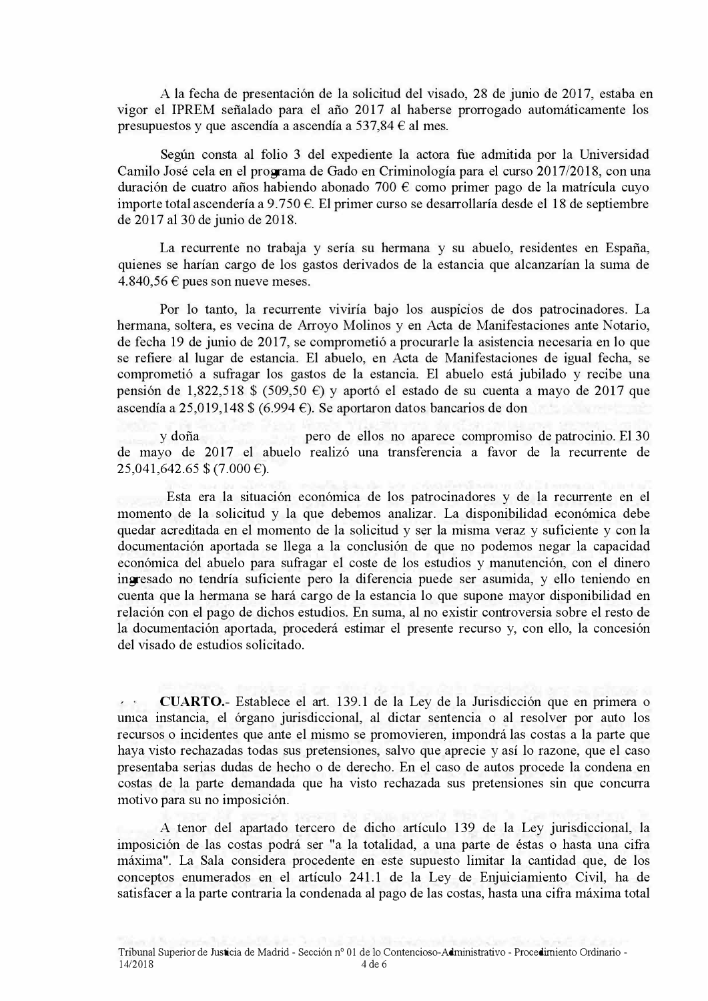A la fecha de presentación de la solicitud del visado, 28 de junio de 2017, estaba en vigor el IPREM señalado para el año 2017 al haberse prorrogado automáticamente los presupuestos y que ascendía a ascendía a 537,84  $\epsilon$  al mes.

Según consta al folio 3 del expediente la actora fue admitida por la Universidad Camilo José cela en el programa de Gado en Criminología para el curso 2017/2018, con una duración de cuatro años habiendo abonado 700  $\epsilon$  como primer pago de la matrícula cuyo importe total ascendería a 9.750  $\epsilon$ . El primer curso se desarrollaría desde el 18 de septiembre de  $2017$  al 30 de junio de  $2018$ .

La recurrente no trabaja y sería su hermana y su abuelo, residentes en España, quienes se harían cargo de los gastos derivados de la estancia que alcanzarían la suma de  $4.840, 56 \in \mathfrak{p}$  pues son nueve meses.

Por lo tanto, la recurrente viviría bajo los auspicios de dos patrocinadores. La hermana, soltera, es vecina de Arroyo Molinos y en Acta de Manifestaciones ante Notario, de fecha 19 de junio de 2017, se comprometió a procurarle la asistencia necesaria en lo que se refiere al lugar de estancia. El abuelo, en Acta de Manifestaciones de igual fecha, se comprometió a sufragar los gastos de la estancia. El abuelo está jubilado y recibe una pensión de 1,822,518 \$ (509,50  $\epsilon$ ) y aportó el estado de su cuenta a mayo de 2017 que ascendía a 25,019,148 \$ (6.994 E). Se aportaron datos bancarios de don

y doña vero de ellos no aparece compromiso de patrocinio. El 30 de mayo de 2017 el abuelo realizó una transferencia a favor de la recurrente de  $25,041,642.65$  \$ (7.000 €).

Esta era la situación económica de los patrocinadores y de la recurrente en el momento de la solicitud y la que debemos analizar. La disponibilidad económica debe quedar acreditada en el momento de la solicitud y ser la misma veraz y suficiente y con la documentación aportada se llega a la conclusión de que no podemos negar la capacidad económica del abuelo para sufragar el coste de los estudios y manutención, con el dinero ingresado no tendría suficiente pero la diferencia puede ser asumida, y ello teniendo en cuenta que la hermana se hará cargo de la estancia lo que supone mayor disponibilidad en relación con el pago de dichos estudios. En suma, al no existir controversia sobre el resto de la documentación aportada, procederá estimar el presente recurso y, con ello, la concesión del visado de estudios solicitado.

**CUARTO.**- Establece el art. 139.1 de la Ley de la Jurisdicción que en primera o unica instancia, el órgano jurisdiccional, al dictar sentencia o al resolver por auto los recursos o incidentes que ante el mismo se promovieren, impondrá las costas a la parte que haya visto rechazadas todas sus pretensiones, salvo que aprecie y así lo razone, que el caso presentaba serias dudas de hecho o de derecho. En el caso de autos procede la condena en costas de la parte demandada que ha visto rechazada sus pretensiones sin que concurra motivo para su no imposición.

A tenor del apartado tercero de dicho artículo 139 de la Ley jurisdiccional, la imposición de las costas podrá ser "a la totalidad, a una parte de éstas o hasta una cifra máxima". La Sala considera procedente en este supuesto limitar la cantidad que, de los conceptos enumerados en el artículo 241.1 de la Ley de Enjuiciamiento Civil, ha de satisfacer a la parte contraria la condenada al pago de las costas, hasta una cifra máxima total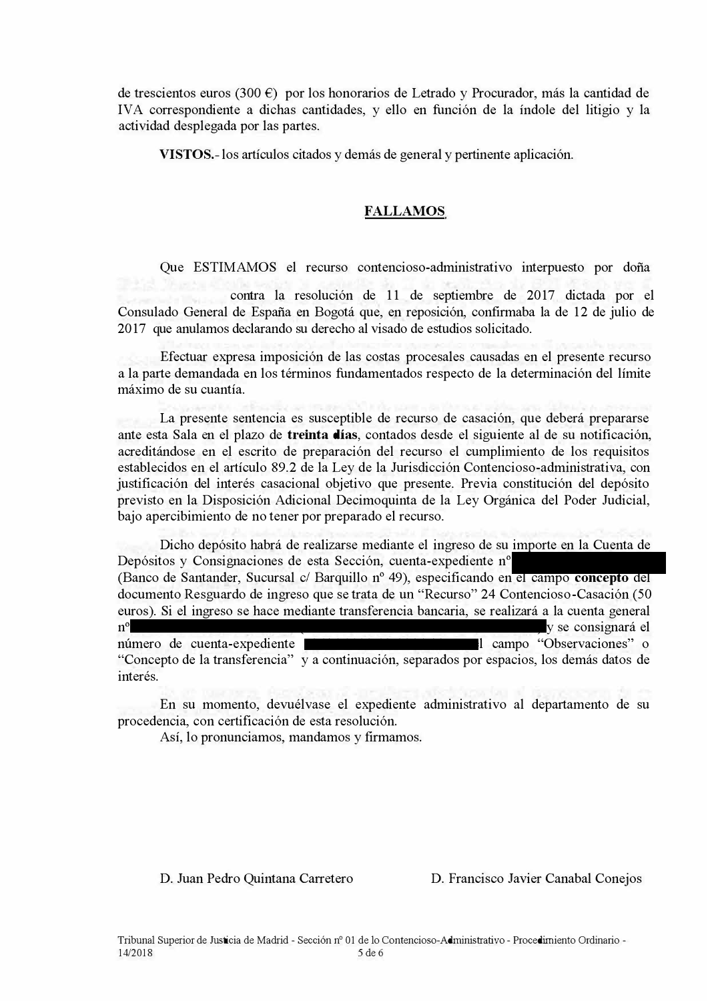de trescientos euros (300  $\epsilon$ ) por los honorarios de Letrado y Procurador, más la cantidad de IVA correspondiente a dichas cantidades, y ello en función de la índole del litigio y la actividad desplegada por las partes.

**VISTOS.** - los artículos citados y demás de general y pertinente aplicación.

## <u>**FALLAMOS**</u>

Que ESTIMAMOS el recurso contencioso-administrativo interpuesto por doña

contra la resolución de 11 de septiembre de 2017 dictada por el Consulado General de España en Bogotá que, en reposición, confirmaba la de 12 de julio de 2017 que anulamos declarando su derecho al visado de estudios solicitado.

Efectuar expresa imposición de las costas procesales causadas en el presente recurso a la parte demandada en los términos fundamentados respecto de la determinación del límite máximo de su cuantía.

La presente sentencia es susceptible de recurso de casación, que deberá prepararse ante esta Sala en el plazo de treinta días, contados desde el siguiente al de su notificación, acreditándose en el escrito de preparación del recurso el cumplimiento de los requisitos establecidos en el artículo 89.2 de la Ley de la Jurisdicción Contencioso-administrativa, con justificación del interés casacional objetivo que presente. Previa constitución del depósito previsto en la Disposición Adicional Decimoquinta de la Ley Orgánica del Poder Judicial, bajo apercibimiento de no tener por preparado el recurso.

Dicho depósito habrá de realizarse mediante el ingreso de su importe en la Cuenta de Depósitos y Consignaciones de esta Sección, cuenta-expediente nº (Banco de Santander, Sucursal c/ Barquillo nº 49), especificando en el campo concepto del documento Resguardo de ingreso que se trata de un "Recurso" 24 Contencioso-Casación (50 euros). Si el ingreso se hace mediante transferencia bancaria, se realizará a la cuenta general  $\gamma$  se consignará el número de cuenta-expediente entre entre entre entre entre entre entre entre entre entre entre entre entre entre entre entre entre entre entre entre entre entre entre entre entre entre entre entre entre entre entre entre en

"Concepto de la transferencia" y a continuación, separados por espacios, los demás datos de interés.

En su momento, devuélvase el expediente administrativo al departamento de su procedencia, con certificación de esta resolución.

Así, lo pronunciamos, mandamos y firmamos.

D. Juan Pedro Quintana Carretero D. Francisco Javier Canabal Conejos